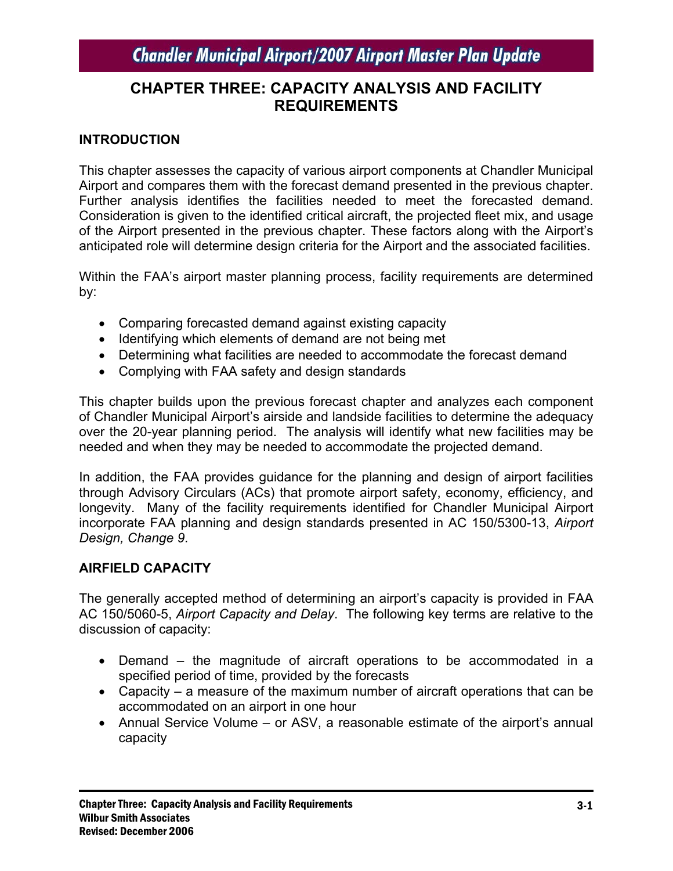## **CHAPTER THREE: CAPACITY ANALYSIS AND FACILITY REQUIREMENTS**

## **INTRODUCTION**

This chapter assesses the capacity of various airport components at Chandler Municipal Airport and compares them with the forecast demand presented in the previous chapter. Further analysis identifies the facilities needed to meet the forecasted demand. Consideration is given to the identified critical aircraft, the projected fleet mix, and usage of the Airport presented in the previous chapter. These factors along with the Airport's anticipated role will determine design criteria for the Airport and the associated facilities.

Within the FAA's airport master planning process, facility requirements are determined by:

- Comparing forecasted demand against existing capacity
- Identifying which elements of demand are not being met
- Determining what facilities are needed to accommodate the forecast demand
- Complying with FAA safety and design standards

This chapter builds upon the previous forecast chapter and analyzes each component of Chandler Municipal Airport's airside and landside facilities to determine the adequacy over the 20-year planning period. The analysis will identify what new facilities may be needed and when they may be needed to accommodate the projected demand.

In addition, the FAA provides guidance for the planning and design of airport facilities through Advisory Circulars (ACs) that promote airport safety, economy, efficiency, and longevity. Many of the facility requirements identified for Chandler Municipal Airport incorporate FAA planning and design standards presented in AC 150/5300-13, *Airport Design, Change 9*.

## **AIRFIELD CAPACITY**

The generally accepted method of determining an airport's capacity is provided in FAA AC 150/5060-5, *Airport Capacity and Delay*. The following key terms are relative to the discussion of capacity:

- Demand the magnitude of aircraft operations to be accommodated in a specified period of time, provided by the forecasts
- Capacity a measure of the maximum number of aircraft operations that can be accommodated on an airport in one hour
- Annual Service Volume or ASV, a reasonable estimate of the airport's annual capacity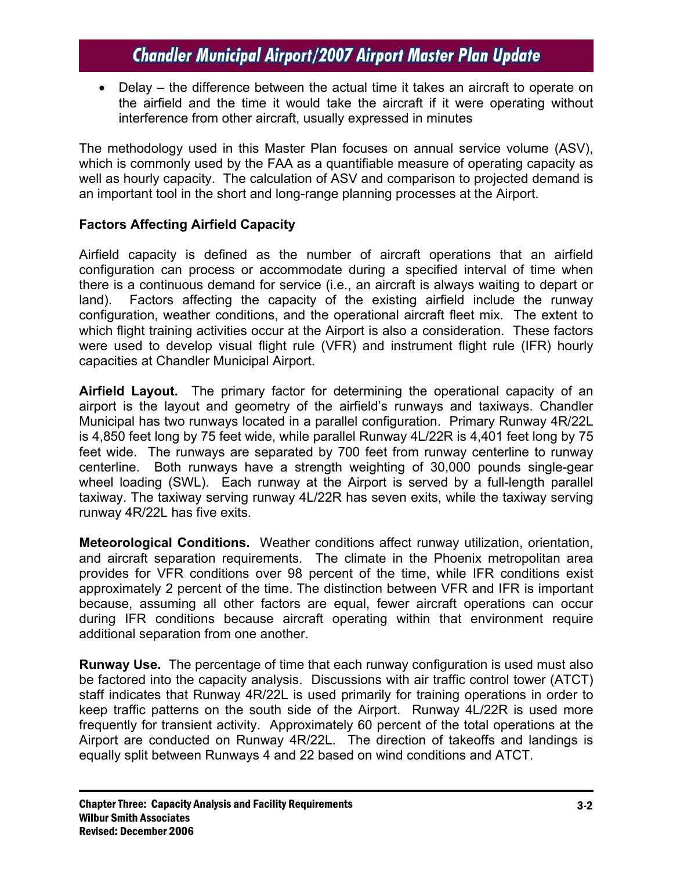• Delay – the difference between the actual time it takes an aircraft to operate on the airfield and the time it would take the aircraft if it were operating without interference from other aircraft, usually expressed in minutes

The methodology used in this Master Plan focuses on annual service volume (ASV), which is commonly used by the FAA as a quantifiable measure of operating capacity as well as hourly capacity. The calculation of ASV and comparison to projected demand is an important tool in the short and long-range planning processes at the Airport.

## **Factors Affecting Airfield Capacity**

Airfield capacity is defined as the number of aircraft operations that an airfield configuration can process or accommodate during a specified interval of time when there is a continuous demand for service (i.e., an aircraft is always waiting to depart or land). Factors affecting the capacity of the existing airfield include the runway configuration, weather conditions, and the operational aircraft fleet mix. The extent to which flight training activities occur at the Airport is also a consideration. These factors were used to develop visual flight rule (VFR) and instrument flight rule (IFR) hourly capacities at Chandler Municipal Airport.

**Airfield Layout.** The primary factor for determining the operational capacity of an airport is the layout and geometry of the airfield's runways and taxiways. Chandler Municipal has two runways located in a parallel configuration. Primary Runway 4R/22L is 4,850 feet long by 75 feet wide, while parallel Runway 4L/22R is 4,401 feet long by 75 feet wide. The runways are separated by 700 feet from runway centerline to runway centerline. Both runways have a strength weighting of 30,000 pounds single-gear wheel loading (SWL). Each runway at the Airport is served by a full-length parallel taxiway. The taxiway serving runway 4L/22R has seven exits, while the taxiway serving runway 4R/22L has five exits.

**Meteorological Conditions.** Weather conditions affect runway utilization, orientation, and aircraft separation requirements. The climate in the Phoenix metropolitan area provides for VFR conditions over 98 percent of the time, while IFR conditions exist approximately 2 percent of the time. The distinction between VFR and IFR is important because, assuming all other factors are equal, fewer aircraft operations can occur during IFR conditions because aircraft operating within that environment require additional separation from one another.

**Runway Use.** The percentage of time that each runway configuration is used must also be factored into the capacity analysis. Discussions with air traffic control tower (ATCT) staff indicates that Runway 4R/22L is used primarily for training operations in order to keep traffic patterns on the south side of the Airport. Runway 4L/22R is used more frequently for transient activity. Approximately 60 percent of the total operations at the Airport are conducted on Runway 4R/22L. The direction of takeoffs and landings is equally split between Runways 4 and 22 based on wind conditions and ATCT.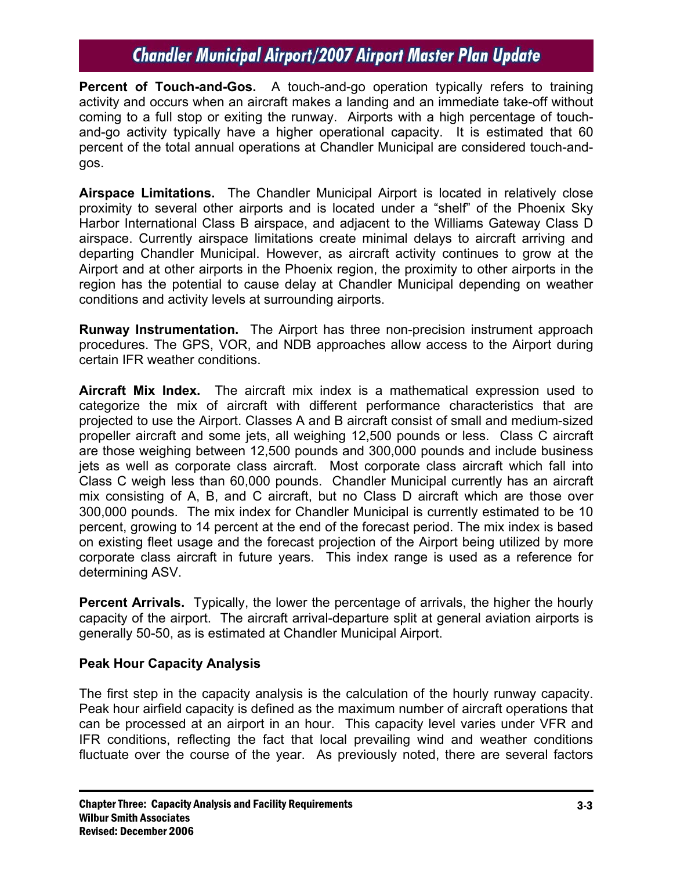**Percent of Touch-and-Gos.** A touch-and-go operation typically refers to training activity and occurs when an aircraft makes a landing and an immediate take-off without coming to a full stop or exiting the runway. Airports with a high percentage of touchand-go activity typically have a higher operational capacity. It is estimated that 60 percent of the total annual operations at Chandler Municipal are considered touch-andgos.

**Airspace Limitations.** The Chandler Municipal Airport is located in relatively close proximity to several other airports and is located under a "shelf" of the Phoenix Sky Harbor International Class B airspace, and adjacent to the Williams Gateway Class D airspace. Currently airspace limitations create minimal delays to aircraft arriving and departing Chandler Municipal. However, as aircraft activity continues to grow at the Airport and at other airports in the Phoenix region, the proximity to other airports in the region has the potential to cause delay at Chandler Municipal depending on weather conditions and activity levels at surrounding airports.

**Runway Instrumentation.** The Airport has three non-precision instrument approach procedures. The GPS, VOR, and NDB approaches allow access to the Airport during certain IFR weather conditions.

**Aircraft Mix Index.** The aircraft mix index is a mathematical expression used to categorize the mix of aircraft with different performance characteristics that are projected to use the Airport. Classes A and B aircraft consist of small and medium-sized propeller aircraft and some jets, all weighing 12,500 pounds or less. Class C aircraft are those weighing between 12,500 pounds and 300,000 pounds and include business jets as well as corporate class aircraft. Most corporate class aircraft which fall into Class C weigh less than 60,000 pounds. Chandler Municipal currently has an aircraft mix consisting of A, B, and C aircraft, but no Class D aircraft which are those over 300,000 pounds. The mix index for Chandler Municipal is currently estimated to be 10 percent, growing to 14 percent at the end of the forecast period. The mix index is based on existing fleet usage and the forecast projection of the Airport being utilized by more corporate class aircraft in future years. This index range is used as a reference for determining ASV.

**Percent Arrivals.** Typically, the lower the percentage of arrivals, the higher the hourly capacity of the airport. The aircraft arrival-departure split at general aviation airports is generally 50-50, as is estimated at Chandler Municipal Airport.

## **Peak Hour Capacity Analysis**

The first step in the capacity analysis is the calculation of the hourly runway capacity. Peak hour airfield capacity is defined as the maximum number of aircraft operations that can be processed at an airport in an hour. This capacity level varies under VFR and IFR conditions, reflecting the fact that local prevailing wind and weather conditions fluctuate over the course of the year. As previously noted, there are several factors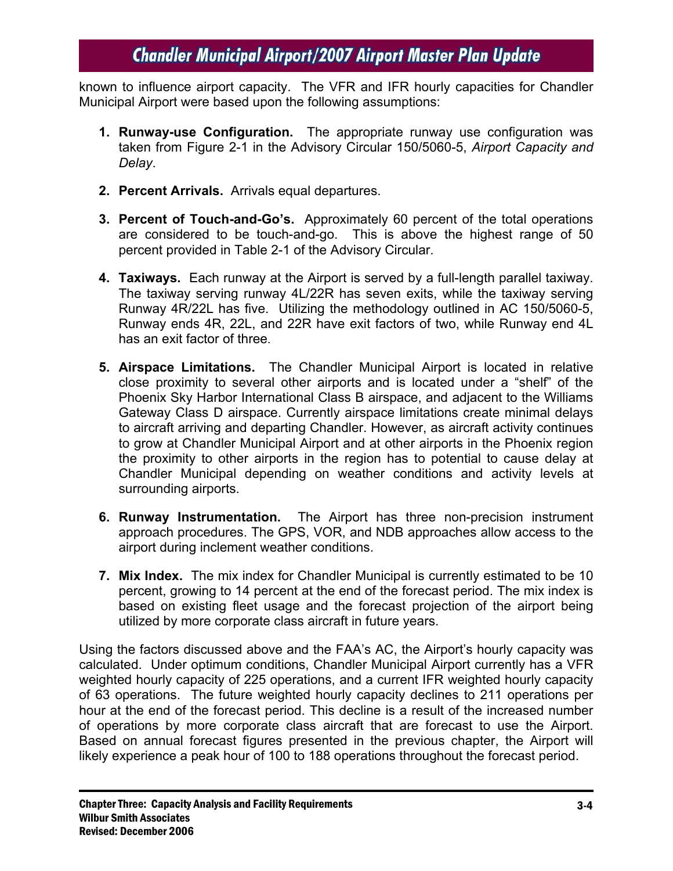known to influence airport capacity. The VFR and IFR hourly capacities for Chandler Municipal Airport were based upon the following assumptions:

- **1. Runway-use Configuration.** The appropriate runway use configuration was taken from Figure 2-1 in the Advisory Circular 150/5060-5, *Airport Capacity and Delay*.
- **2. Percent Arrivals.** Arrivals equal departures.
- **3. Percent of Touch-and-Go's.** Approximately 60 percent of the total operations are considered to be touch-and-go. This is above the highest range of 50 percent provided in Table 2-1 of the Advisory Circular.
- **4. Taxiways.** Each runway at the Airport is served by a full-length parallel taxiway. The taxiway serving runway 4L/22R has seven exits, while the taxiway serving Runway 4R/22L has five. Utilizing the methodology outlined in AC 150/5060-5, Runway ends 4R, 22L, and 22R have exit factors of two, while Runway end 4L has an exit factor of three.
- **5. Airspace Limitations.** The Chandler Municipal Airport is located in relative close proximity to several other airports and is located under a "shelf" of the Phoenix Sky Harbor International Class B airspace, and adjacent to the Williams Gateway Class D airspace. Currently airspace limitations create minimal delays to aircraft arriving and departing Chandler. However, as aircraft activity continues to grow at Chandler Municipal Airport and at other airports in the Phoenix region the proximity to other airports in the region has to potential to cause delay at Chandler Municipal depending on weather conditions and activity levels at surrounding airports.
- **6. Runway Instrumentation.** The Airport has three non-precision instrument approach procedures. The GPS, VOR, and NDB approaches allow access to the airport during inclement weather conditions.
- **7. Mix Index.** The mix index for Chandler Municipal is currently estimated to be 10 percent, growing to 14 percent at the end of the forecast period. The mix index is based on existing fleet usage and the forecast projection of the airport being utilized by more corporate class aircraft in future years.

Using the factors discussed above and the FAA's AC, the Airport's hourly capacity was calculated. Under optimum conditions, Chandler Municipal Airport currently has a VFR weighted hourly capacity of 225 operations, and a current IFR weighted hourly capacity of 63 operations. The future weighted hourly capacity declines to 211 operations per hour at the end of the forecast period. This decline is a result of the increased number of operations by more corporate class aircraft that are forecast to use the Airport. Based on annual forecast figures presented in the previous chapter, the Airport will likely experience a peak hour of 100 to 188 operations throughout the forecast period.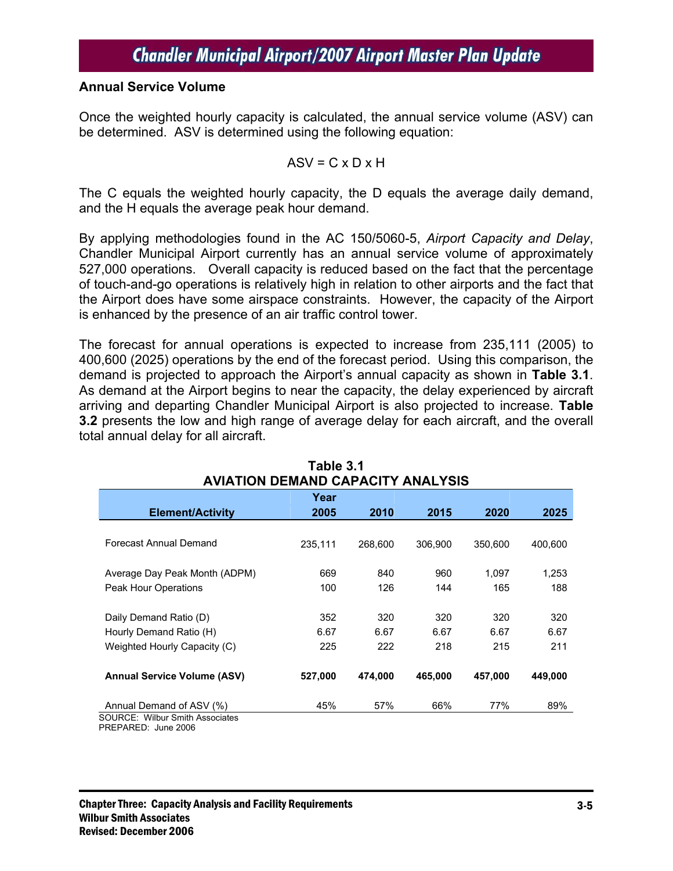#### **Annual Service Volume**

Once the weighted hourly capacity is calculated, the annual service volume (ASV) can be determined. ASV is determined using the following equation:

$$
ASV = C \times D \times H
$$

The C equals the weighted hourly capacity, the D equals the average daily demand, and the H equals the average peak hour demand.

By applying methodologies found in the AC 150/5060-5, *Airport Capacity and Delay*, Chandler Municipal Airport currently has an annual service volume of approximately 527,000 operations. Overall capacity is reduced based on the fact that the percentage of touch-and-go operations is relatively high in relation to other airports and the fact that the Airport does have some airspace constraints. However, the capacity of the Airport is enhanced by the presence of an air traffic control tower.

The forecast for annual operations is expected to increase from 235,111 (2005) to 400,600 (2025) operations by the end of the forecast period. Using this comparison, the demand is projected to approach the Airport's annual capacity as shown in **Table 3.1**. As demand at the Airport begins to near the capacity, the delay experienced by aircraft arriving and departing Chandler Municipal Airport is also projected to increase. **Table 3.2** presents the low and high range of average delay for each aircraft, and the overall total annual delay for all aircraft.

| Year<br>2005 | 2010                                            | 2015                                            | 2020                                            | 2025                                              |
|--------------|-------------------------------------------------|-------------------------------------------------|-------------------------------------------------|---------------------------------------------------|
|              |                                                 |                                                 |                                                 |                                                   |
|              |                                                 |                                                 |                                                 |                                                   |
|              |                                                 |                                                 |                                                 |                                                   |
|              |                                                 |                                                 |                                                 | 400,600                                           |
|              |                                                 |                                                 |                                                 |                                                   |
|              |                                                 |                                                 |                                                 | 1,253                                             |
|              |                                                 |                                                 |                                                 |                                                   |
|              |                                                 |                                                 |                                                 | 188                                               |
|              |                                                 |                                                 |                                                 | 320                                               |
|              |                                                 |                                                 |                                                 |                                                   |
|              |                                                 |                                                 |                                                 | 6.67                                              |
| 225          | 222                                             | 218                                             | 215                                             | 211                                               |
|              |                                                 |                                                 |                                                 | 449,000                                           |
|              |                                                 |                                                 |                                                 |                                                   |
| 45%          | 57%                                             | 66%                                             | 77%                                             | 89%                                               |
|              | 235,111<br>669<br>100<br>352<br>6.67<br>527,000 | 268,600<br>840<br>126<br>320<br>6.67<br>474.000 | 306,900<br>960<br>144<br>320<br>6.67<br>465,000 | 350,600<br>1.097<br>165<br>320<br>6.67<br>457,000 |

| Table 3.1                               |
|-----------------------------------------|
| <b>NIATION DEMAND CAPACITY ANALYSIS</b> |

PREPARED: June 2006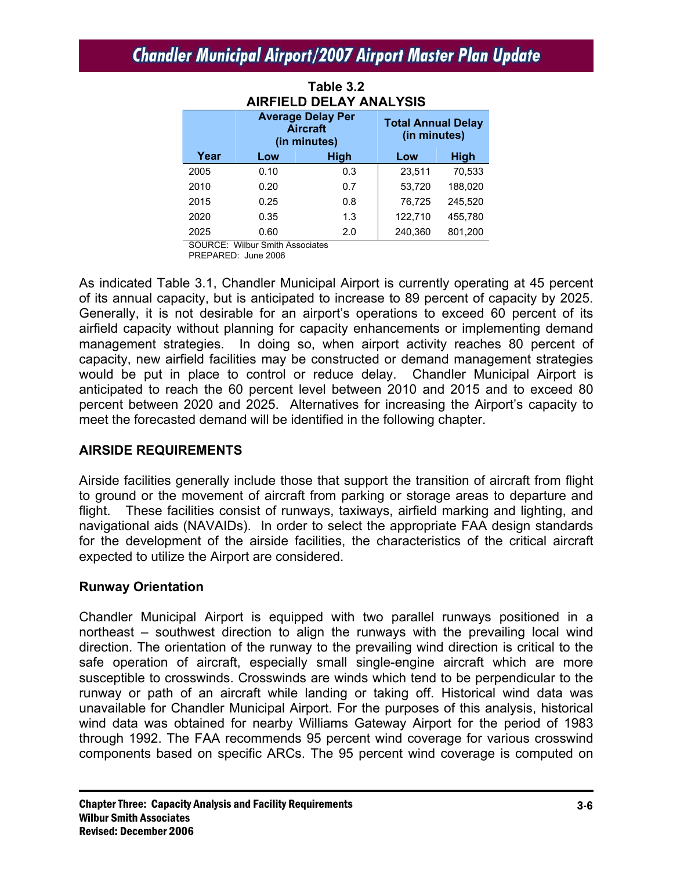**Table 3.2** 

| <b>AIRFIELD DELAY ANALYSIS</b> |                                                             |      |                                           |         |  |  |
|--------------------------------|-------------------------------------------------------------|------|-------------------------------------------|---------|--|--|
|                                | <b>Average Delay Per</b><br><b>Aircraft</b><br>(in minutes) |      | <b>Total Annual Delay</b><br>(in minutes) |         |  |  |
| Year                           | Low                                                         | High | Low                                       | High    |  |  |
| 2005                           | 0.10                                                        | 0.3  | 23,511                                    | 70,533  |  |  |
| 2010                           | 0.20                                                        | 0.7  | 53,720                                    | 188,020 |  |  |
| 2015                           | 0.25                                                        | 0.8  | 76,725                                    | 245,520 |  |  |
| 2020                           | 0.35                                                        | 1.3  | 122,710                                   | 455,780 |  |  |
| 2025                           | 0.60                                                        | 2.0  | 240.360                                   | 801,200 |  |  |

SOURCE: Wilbur Smith Associates

PREPARED: June 2006

As indicated Table 3.1, Chandler Municipal Airport is currently operating at 45 percent of its annual capacity, but is anticipated to increase to 89 percent of capacity by 2025. Generally, it is not desirable for an airport's operations to exceed 60 percent of its airfield capacity without planning for capacity enhancements or implementing demand management strategies. In doing so, when airport activity reaches 80 percent of capacity, new airfield facilities may be constructed or demand management strategies would be put in place to control or reduce delay. Chandler Municipal Airport is anticipated to reach the 60 percent level between 2010 and 2015 and to exceed 80 percent between 2020 and 2025. Alternatives for increasing the Airport's capacity to meet the forecasted demand will be identified in the following chapter.

#### **AIRSIDE REQUIREMENTS**

Airside facilities generally include those that support the transition of aircraft from flight to ground or the movement of aircraft from parking or storage areas to departure and flight. These facilities consist of runways, taxiways, airfield marking and lighting, and navigational aids (NAVAIDs). In order to select the appropriate FAA design standards for the development of the airside facilities, the characteristics of the critical aircraft expected to utilize the Airport are considered.

#### **Runway Orientation**

Chandler Municipal Airport is equipped with two parallel runways positioned in a northeast – southwest direction to align the runways with the prevailing local wind direction. The orientation of the runway to the prevailing wind direction is critical to the safe operation of aircraft, especially small single-engine aircraft which are more susceptible to crosswinds. Crosswinds are winds which tend to be perpendicular to the runway or path of an aircraft while landing or taking off. Historical wind data was unavailable for Chandler Municipal Airport. For the purposes of this analysis, historical wind data was obtained for nearby Williams Gateway Airport for the period of 1983 through 1992. The FAA recommends 95 percent wind coverage for various crosswind components based on specific ARCs. The 95 percent wind coverage is computed on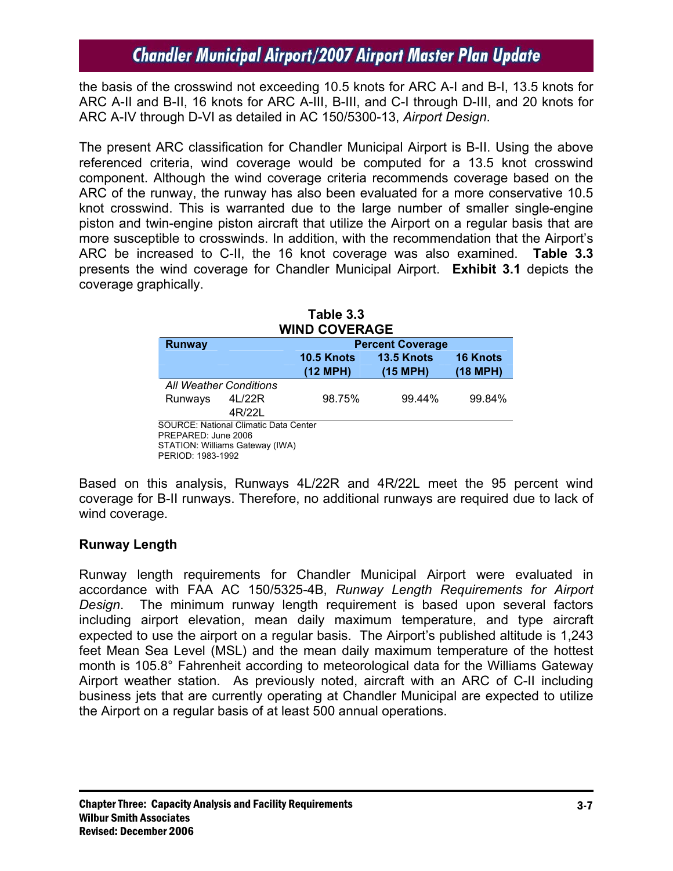the basis of the crosswind not exceeding 10.5 knots for ARC A-I and B-I, 13.5 knots for ARC A-II and B-II, 16 knots for ARC A-III, B-III, and C-I through D-III, and 20 knots for ARC A-IV through D-VI as detailed in AC 150/5300-13, *Airport Design*.

The present ARC classification for Chandler Municipal Airport is B-II. Using the above referenced criteria, wind coverage would be computed for a 13.5 knot crosswind component. Although the wind coverage criteria recommends coverage based on the ARC of the runway, the runway has also been evaluated for a more conservative 10.5 knot crosswind. This is warranted due to the large number of smaller single-engine piston and twin-engine piston aircraft that utilize the Airport on a regular basis that are more susceptible to crosswinds. In addition, with the recommendation that the Airport's ARC be increased to C-II, the 16 knot coverage was also examined. **Table 3.3** presents the wind coverage for Chandler Municipal Airport. **Exhibit 3.1** depicts the coverage graphically.

| WIND COVERAGE       |                                              |                         |                    |                 |  |  |  |
|---------------------|----------------------------------------------|-------------------------|--------------------|-----------------|--|--|--|
| <b>Runway</b>       |                                              | <b>Percent Coverage</b> |                    |                 |  |  |  |
|                     |                                              | <b>10.5 Knots</b>       | 13.5 Knots         | <b>16 Knots</b> |  |  |  |
|                     |                                              | (12 MPH)                | $(15 \text{ MPH})$ | (18 MPH)        |  |  |  |
|                     | <b>All Weather Conditions</b>                |                         |                    |                 |  |  |  |
| Runways             | 4L/22R                                       | 98.75%                  | 99.44%             | 99.84%          |  |  |  |
|                     | 4R/22L                                       |                         |                    |                 |  |  |  |
|                     | <b>SOURCE: National Climatic Data Center</b> |                         |                    |                 |  |  |  |
| PREPARED: June 2006 |                                              |                         |                    |                 |  |  |  |
|                     | STATION: Williams Gateway (IWA)              |                         |                    |                 |  |  |  |
| PERIOD: 1983-1992   |                                              |                         |                    |                 |  |  |  |

| Table 3.3 |                      |
|-----------|----------------------|
|           | <b>WIND COVERAGE</b> |

Based on this analysis, Runways 4L/22R and 4R/22L meet the 95 percent wind coverage for B-II runways. Therefore, no additional runways are required due to lack of wind coverage.

## **Runway Length**

Runway length requirements for Chandler Municipal Airport were evaluated in accordance with FAA AC 150/5325-4B, *Runway Length Requirements for Airport Design*. The minimum runway length requirement is based upon several factors including airport elevation, mean daily maximum temperature, and type aircraft expected to use the airport on a regular basis. The Airport's published altitude is 1,243 feet Mean Sea Level (MSL) and the mean daily maximum temperature of the hottest month is 105.8° Fahrenheit according to meteorological data for the Williams Gateway Airport weather station. As previously noted, aircraft with an ARC of C-II including business jets that are currently operating at Chandler Municipal are expected to utilize the Airport on a regular basis of at least 500 annual operations.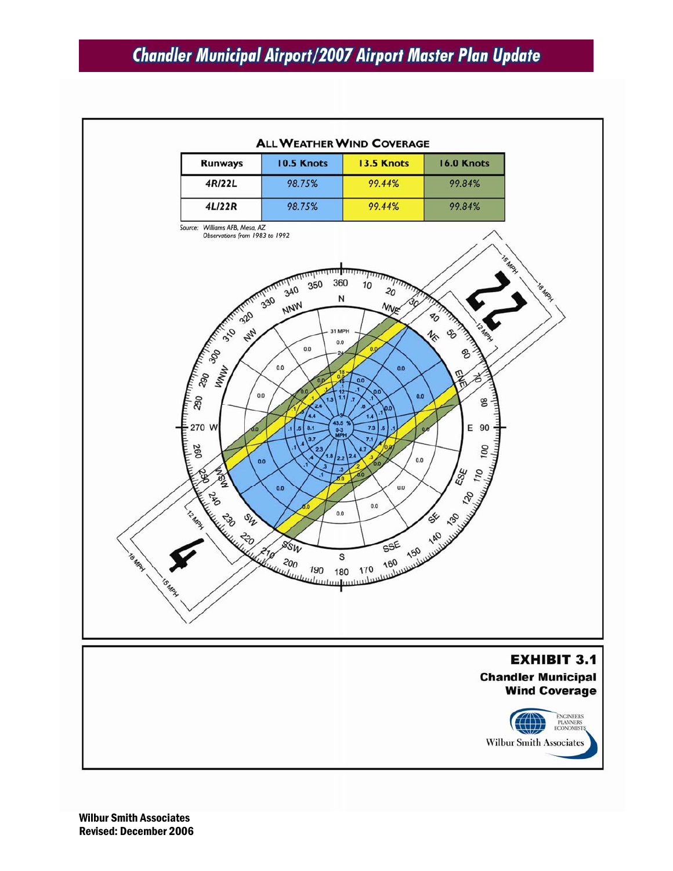

Wilbur Smith Associates Revised: December 2006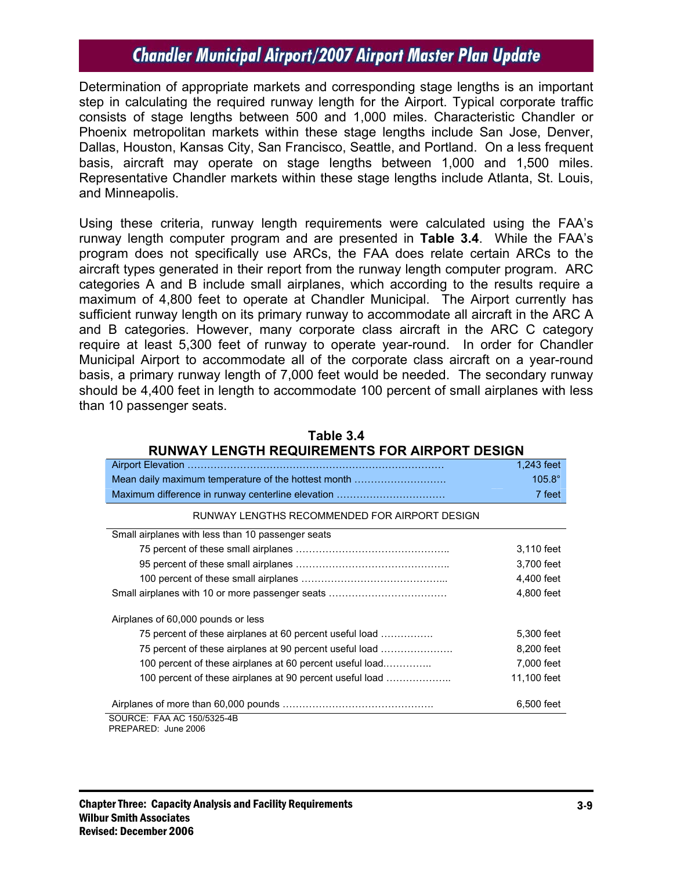Determination of appropriate markets and corresponding stage lengths is an important step in calculating the required runway length for the Airport. Typical corporate traffic consists of stage lengths between 500 and 1,000 miles. Characteristic Chandler or Phoenix metropolitan markets within these stage lengths include San Jose, Denver, Dallas, Houston, Kansas City, San Francisco, Seattle, and Portland. On a less frequent basis, aircraft may operate on stage lengths between 1,000 and 1,500 miles. Representative Chandler markets within these stage lengths include Atlanta, St. Louis, and Minneapolis.

Using these criteria, runway length requirements were calculated using the FAA's runway length computer program and are presented in **Table 3.4**. While the FAA's program does not specifically use ARCs, the FAA does relate certain ARCs to the aircraft types generated in their report from the runway length computer program. ARC categories A and B include small airplanes, which according to the results require a maximum of 4,800 feet to operate at Chandler Municipal. The Airport currently has sufficient runway length on its primary runway to accommodate all aircraft in the ARC A and B categories. However, many corporate class aircraft in the ARC C category require at least 5,300 feet of runway to operate year-round. In order for Chandler Municipal Airport to accommodate all of the corporate class aircraft on a year-round basis, a primary runway length of 7,000 feet would be needed. The secondary runway should be 4,400 feet in length to accommodate 100 percent of small airplanes with less than 10 passenger seats.

| RUNWAY LENGTH REQUIREMENTS FOR AIRPORT DESIGN            |               |  |  |  |
|----------------------------------------------------------|---------------|--|--|--|
|                                                          | 1,243 feet    |  |  |  |
| Mean daily maximum temperature of the hottest month      | $105.8^\circ$ |  |  |  |
|                                                          | 7 feet        |  |  |  |
| RUNWAY LENGTHS RECOMMENDED FOR AIRPORT DESIGN            |               |  |  |  |
| Small airplanes with less than 10 passenger seats        |               |  |  |  |
|                                                          | 3,110 feet    |  |  |  |
|                                                          | 3,700 feet    |  |  |  |
|                                                          | 4,400 feet    |  |  |  |
|                                                          | 4,800 feet    |  |  |  |
| Airplanes of 60,000 pounds or less                       |               |  |  |  |
| 75 percent of these airplanes at 60 percent useful load  | 5,300 feet    |  |  |  |
| 75 percent of these airplanes at 90 percent useful load  | 8,200 feet    |  |  |  |
| 100 percent of these airplanes at 60 percent useful load | 7,000 feet    |  |  |  |
| 100 percent of these airplanes at 90 percent useful load | 11,100 feet   |  |  |  |
|                                                          | 6,500 feet    |  |  |  |
| SOURCE: FAA AC 150/5325-4B<br>PREPARED: June 2006        |               |  |  |  |

**Table 3.4**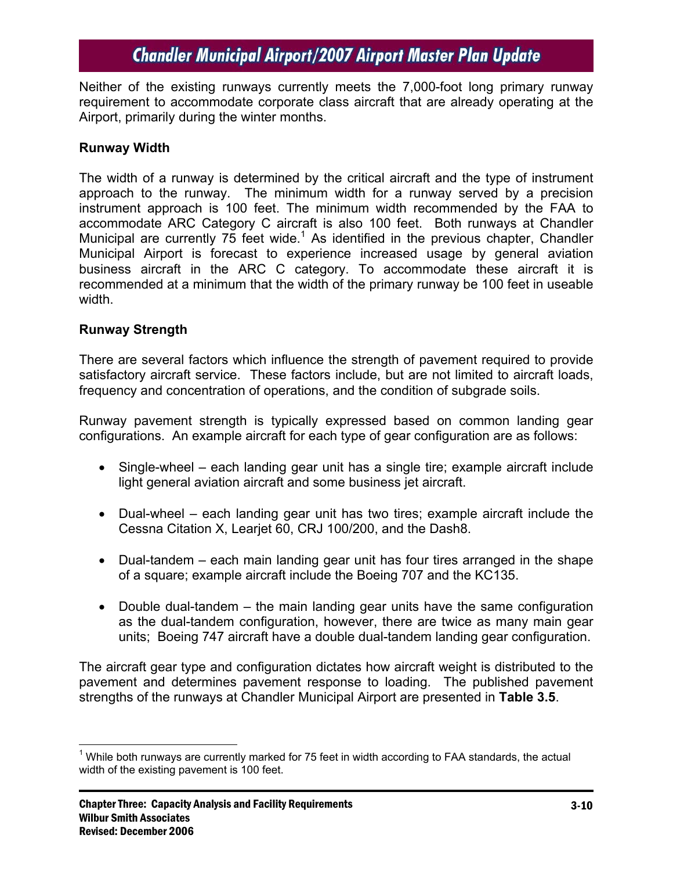Neither of the existing runways currently meets the 7,000-foot long primary runway requirement to accommodate corporate class aircraft that are already operating at the Airport, primarily during the winter months.

#### **Runway Width**

The width of a runway is determined by the critical aircraft and the type of instrument approach to the runway. The minimum width for a runway served by a precision instrument approach is 100 feet. The minimum width recommended by the FAA to accommodate ARC Category C aircraft is also 100 feet. Both runways at Chandler Municipal are currently 75 feet wide.<sup>1</sup> As identified in the previous chapter, Chandler Municipal Airport is forecast to experience increased usage by general aviation business aircraft in the ARC C category. To accommodate these aircraft it is recommended at a minimum that the width of the primary runway be 100 feet in useable width.

#### **Runway Strength**

There are several factors which influence the strength of pavement required to provide satisfactory aircraft service. These factors include, but are not limited to aircraft loads, frequency and concentration of operations, and the condition of subgrade soils.

Runway pavement strength is typically expressed based on common landing gear configurations. An example aircraft for each type of gear configuration are as follows:

- Single-wheel each landing gear unit has a single tire; example aircraft include light general aviation aircraft and some business jet aircraft.
- Dual-wheel each landing gear unit has two tires; example aircraft include the Cessna Citation X, Learjet 60, CRJ 100/200, and the Dash8.
- Dual-tandem each main landing gear unit has four tires arranged in the shape of a square; example aircraft include the Boeing 707 and the KC135.
- Double dual-tandem the main landing gear units have the same configuration as the dual-tandem configuration, however, there are twice as many main gear units; Boeing 747 aircraft have a double dual-tandem landing gear configuration.

The aircraft gear type and configuration dictates how aircraft weight is distributed to the pavement and determines pavement response to loading. The published pavement strengths of the runways at Chandler Municipal Airport are presented in **Table 3.5**.

 $\overline{a}$  $1$  While both runways are currently marked for 75 feet in width according to FAA standards, the actual width of the existing pavement is 100 feet.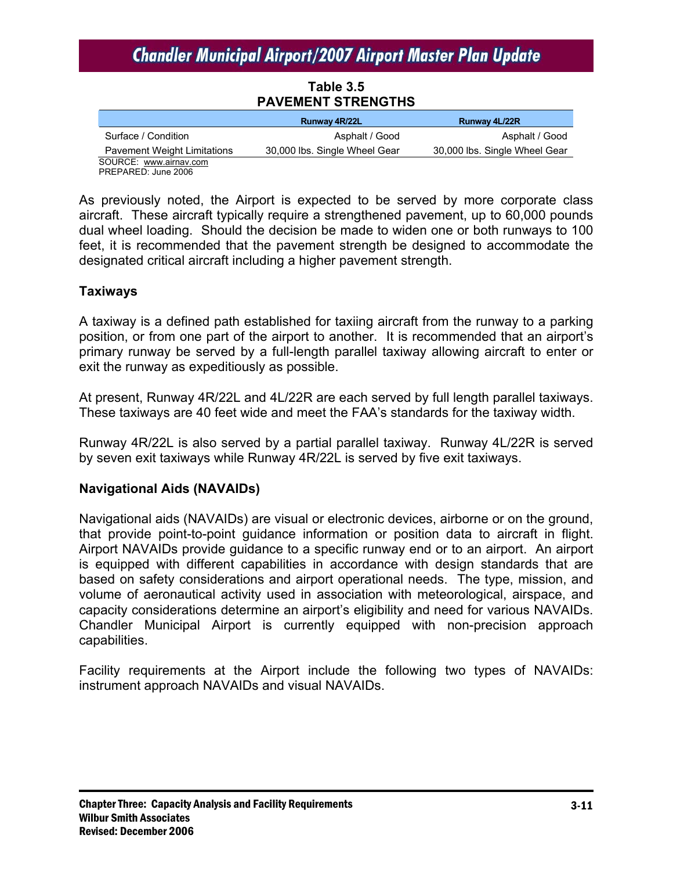## **Table 3.5 PAVEMENT STRENGTHS**

|                                    | Runway 4R/22L                 | Runway 4L/22R                 |
|------------------------------------|-------------------------------|-------------------------------|
| Surface / Condition                | Asphalt / Good                | Asphalt / Good                |
| <b>Pavement Weight Limitations</b> | 30,000 lbs. Single Wheel Gear | 30,000 lbs. Single Wheel Gear |
| SOURCE: www.airnav.com             |                               |                               |

PREPARED: June 2006

As previously noted, the Airport is expected to be served by more corporate class aircraft. These aircraft typically require a strengthened pavement, up to 60,000 pounds dual wheel loading. Should the decision be made to widen one or both runways to 100 feet, it is recommended that the pavement strength be designed to accommodate the designated critical aircraft including a higher pavement strength.

#### **Taxiways**

A taxiway is a defined path established for taxiing aircraft from the runway to a parking position, or from one part of the airport to another. It is recommended that an airport's primary runway be served by a full-length parallel taxiway allowing aircraft to enter or exit the runway as expeditiously as possible.

At present, Runway 4R/22L and 4L/22R are each served by full length parallel taxiways. These taxiways are 40 feet wide and meet the FAA's standards for the taxiway width.

Runway 4R/22L is also served by a partial parallel taxiway. Runway 4L/22R is served by seven exit taxiways while Runway 4R/22L is served by five exit taxiways.

## **Navigational Aids (NAVAIDs)**

Navigational aids (NAVAIDs) are visual or electronic devices, airborne or on the ground, that provide point-to-point guidance information or position data to aircraft in flight. Airport NAVAIDs provide guidance to a specific runway end or to an airport. An airport is equipped with different capabilities in accordance with design standards that are based on safety considerations and airport operational needs. The type, mission, and volume of aeronautical activity used in association with meteorological, airspace, and capacity considerations determine an airport's eligibility and need for various NAVAIDs. Chandler Municipal Airport is currently equipped with non-precision approach capabilities.

Facility requirements at the Airport include the following two types of NAVAIDs: instrument approach NAVAIDs and visual NAVAIDs.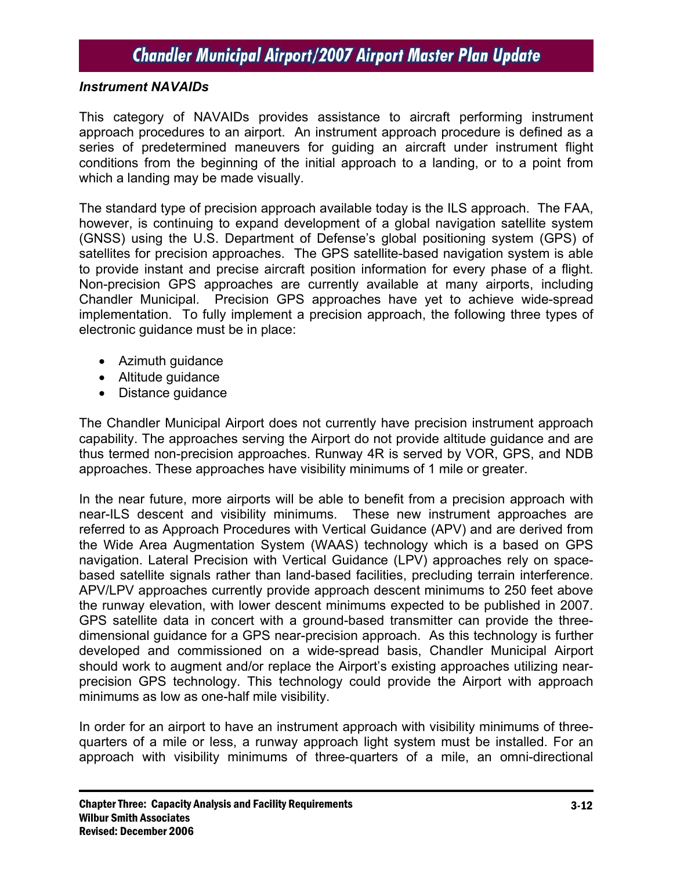#### *Instrument NAVAIDs*

This category of NAVAIDs provides assistance to aircraft performing instrument approach procedures to an airport. An instrument approach procedure is defined as a series of predetermined maneuvers for guiding an aircraft under instrument flight conditions from the beginning of the initial approach to a landing, or to a point from which a landing may be made visually.

The standard type of precision approach available today is the ILS approach. The FAA, however, is continuing to expand development of a global navigation satellite system (GNSS) using the U.S. Department of Defense's global positioning system (GPS) of satellites for precision approaches. The GPS satellite-based navigation system is able to provide instant and precise aircraft position information for every phase of a flight. Non-precision GPS approaches are currently available at many airports, including Chandler Municipal. Precision GPS approaches have yet to achieve wide-spread implementation. To fully implement a precision approach, the following three types of electronic guidance must be in place:

- Azimuth guidance
- Altitude guidance
- Distance guidance

The Chandler Municipal Airport does not currently have precision instrument approach capability. The approaches serving the Airport do not provide altitude guidance and are thus termed non-precision approaches. Runway 4R is served by VOR, GPS, and NDB approaches. These approaches have visibility minimums of 1 mile or greater.

In the near future, more airports will be able to benefit from a precision approach with near-ILS descent and visibility minimums. These new instrument approaches are referred to as Approach Procedures with Vertical Guidance (APV) and are derived from the Wide Area Augmentation System (WAAS) technology which is a based on GPS navigation. Lateral Precision with Vertical Guidance (LPV) approaches rely on spacebased satellite signals rather than land-based facilities, precluding terrain interference. APV/LPV approaches currently provide approach descent minimums to 250 feet above the runway elevation, with lower descent minimums expected to be published in 2007. GPS satellite data in concert with a ground-based transmitter can provide the threedimensional guidance for a GPS near-precision approach. As this technology is further developed and commissioned on a wide-spread basis, Chandler Municipal Airport should work to augment and/or replace the Airport's existing approaches utilizing nearprecision GPS technology. This technology could provide the Airport with approach minimums as low as one-half mile visibility.

In order for an airport to have an instrument approach with visibility minimums of threequarters of a mile or less, a runway approach light system must be installed. For an approach with visibility minimums of three-quarters of a mile, an omni-directional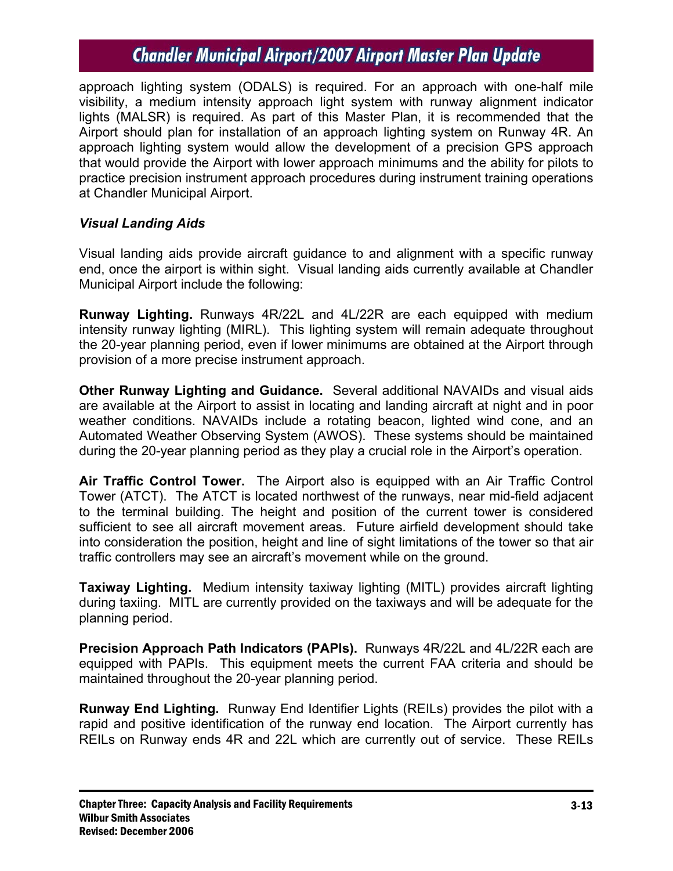approach lighting system (ODALS) is required. For an approach with one-half mile visibility, a medium intensity approach light system with runway alignment indicator lights (MALSR) is required. As part of this Master Plan, it is recommended that the Airport should plan for installation of an approach lighting system on Runway 4R. An approach lighting system would allow the development of a precision GPS approach that would provide the Airport with lower approach minimums and the ability for pilots to practice precision instrument approach procedures during instrument training operations at Chandler Municipal Airport.

### *Visual Landing Aids*

Visual landing aids provide aircraft guidance to and alignment with a specific runway end, once the airport is within sight. Visual landing aids currently available at Chandler Municipal Airport include the following:

**Runway Lighting.** Runways 4R/22L and 4L/22R are each equipped with medium intensity runway lighting (MIRL). This lighting system will remain adequate throughout the 20-year planning period, even if lower minimums are obtained at the Airport through provision of a more precise instrument approach.

**Other Runway Lighting and Guidance.** Several additional NAVAIDs and visual aids are available at the Airport to assist in locating and landing aircraft at night and in poor weather conditions. NAVAIDs include a rotating beacon, lighted wind cone, and an Automated Weather Observing System (AWOS). These systems should be maintained during the 20-year planning period as they play a crucial role in the Airport's operation.

**Air Traffic Control Tower.** The Airport also is equipped with an Air Traffic Control Tower (ATCT). The ATCT is located northwest of the runways, near mid-field adjacent to the terminal building. The height and position of the current tower is considered sufficient to see all aircraft movement areas. Future airfield development should take into consideration the position, height and line of sight limitations of the tower so that air traffic controllers may see an aircraft's movement while on the ground.

**Taxiway Lighting.** Medium intensity taxiway lighting (MITL) provides aircraft lighting during taxiing. MITL are currently provided on the taxiways and will be adequate for the planning period.

**Precision Approach Path Indicators (PAPIs).** Runways 4R/22L and 4L/22R each are equipped with PAPIs. This equipment meets the current FAA criteria and should be maintained throughout the 20-year planning period.

**Runway End Lighting.** Runway End Identifier Lights (REILs) provides the pilot with a rapid and positive identification of the runway end location. The Airport currently has REILs on Runway ends 4R and 22L which are currently out of service. These REILs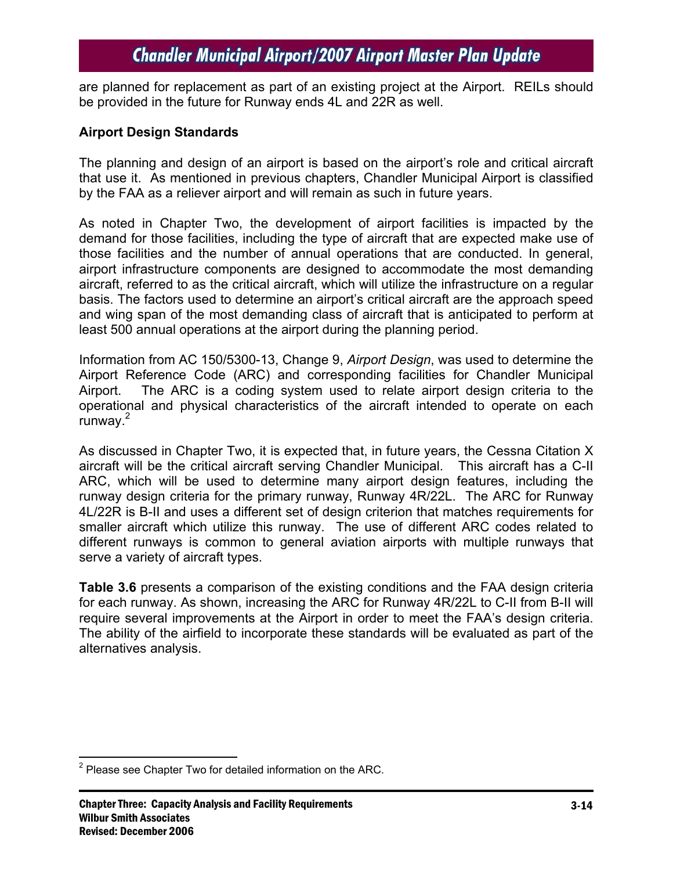are planned for replacement as part of an existing project at the Airport. REILs should be provided in the future for Runway ends 4L and 22R as well.

#### **Airport Design Standards**

The planning and design of an airport is based on the airport's role and critical aircraft that use it. As mentioned in previous chapters, Chandler Municipal Airport is classified by the FAA as a reliever airport and will remain as such in future years.

As noted in Chapter Two, the development of airport facilities is impacted by the demand for those facilities, including the type of aircraft that are expected make use of those facilities and the number of annual operations that are conducted. In general, airport infrastructure components are designed to accommodate the most demanding aircraft, referred to as the critical aircraft, which will utilize the infrastructure on a regular basis. The factors used to determine an airport's critical aircraft are the approach speed and wing span of the most demanding class of aircraft that is anticipated to perform at least 500 annual operations at the airport during the planning period.

Information from AC 150/5300-13, Change 9, *Airport Design*, was used to determine the Airport Reference Code (ARC) and corresponding facilities for Chandler Municipal Airport. The ARC is a coding system used to relate airport design criteria to the operational and physical characteristics of the aircraft intended to operate on each runway.<sup>2</sup>

As discussed in Chapter Two, it is expected that, in future years, the Cessna Citation X aircraft will be the critical aircraft serving Chandler Municipal. This aircraft has a C-II ARC, which will be used to determine many airport design features, including the runway design criteria for the primary runway, Runway 4R/22L. The ARC for Runway 4L/22R is B-II and uses a different set of design criterion that matches requirements for smaller aircraft which utilize this runway. The use of different ARC codes related to different runways is common to general aviation airports with multiple runways that serve a variety of aircraft types.

**Table 3.6** presents a comparison of the existing conditions and the FAA design criteria for each runway. As shown, increasing the ARC for Runway 4R/22L to C-II from B-II will require several improvements at the Airport in order to meet the FAA's design criteria. The ability of the airfield to incorporate these standards will be evaluated as part of the alternatives analysis.

1

 $2$  Please see Chapter Two for detailed information on the ARC.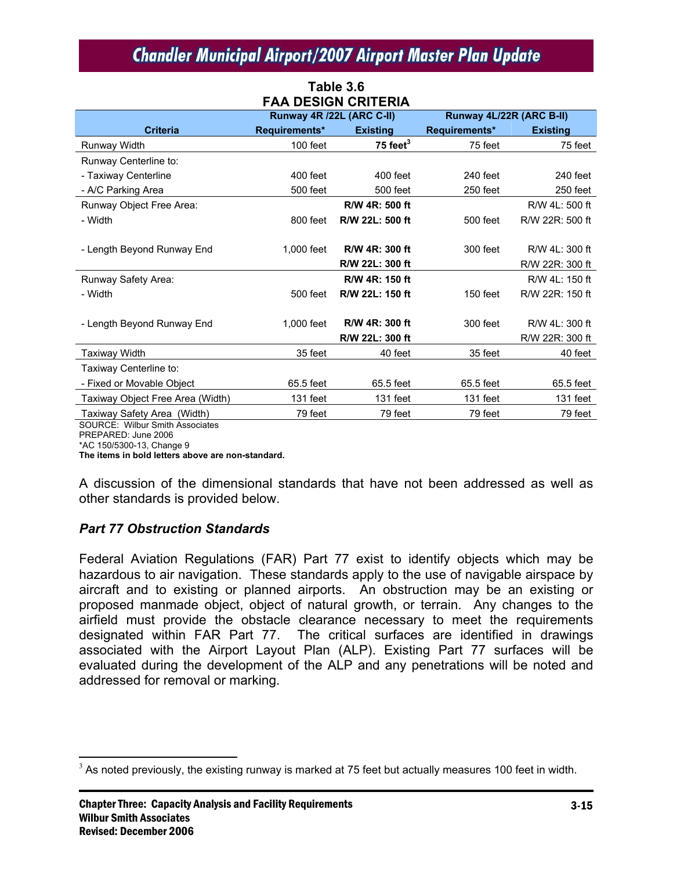| <b>FAA DESIGN CRITERIA</b>       |                           |                 |                          |                 |  |  |  |
|----------------------------------|---------------------------|-----------------|--------------------------|-----------------|--|--|--|
|                                  | Runway 4R /22L (ARC C-II) |                 | Runway 4L/22R (ARC B-II) |                 |  |  |  |
| <b>Criteria</b>                  | Requirements*             | <b>Existing</b> | Requirements*            | <b>Existing</b> |  |  |  |
| Runway Width                     | 100 feet                  | 75 feet $3$     | 75 feet                  | 75 feet         |  |  |  |
| Runway Centerline to:            |                           |                 |                          |                 |  |  |  |
| - Taxiway Centerline             | 400 feet                  | 400 feet        | 240 feet                 | 240 feet        |  |  |  |
| - A/C Parking Area               | 500 feet                  | 500 feet        | 250 feet                 | 250 feet        |  |  |  |
| Runway Object Free Area:         |                           | R/W 4R: 500 ft  |                          | R/W 4L: 500 ft  |  |  |  |
| - Width                          | 800 feet                  | R/W 22L: 500 ft | 500 feet                 | R/W 22R: 500 ft |  |  |  |
|                                  |                           |                 |                          |                 |  |  |  |
| - Length Beyond Runway End       | 1,000 feet                | R/W 4R: 300 ft  | 300 feet                 | R/W 4L: 300 ft  |  |  |  |
|                                  |                           | R/W 22L: 300 ft |                          | R/W 22R: 300 ft |  |  |  |
| Runway Safety Area:              |                           | R/W 4R: 150 ft  |                          | R/W 4L: 150 ft  |  |  |  |
| - Width                          | 500 feet                  | R/W 22L: 150 ft | 150 feet                 | R/W 22R: 150 ft |  |  |  |
|                                  |                           |                 |                          |                 |  |  |  |
| - Length Beyond Runway End       | 1.000 feet                | R/W 4R: 300 ft  | 300 feet                 | R/W 4L: 300 ft  |  |  |  |
|                                  |                           | R/W 22L: 300 ft |                          | R/W 22R: 300 ft |  |  |  |
| <b>Taxiway Width</b>             | 35 feet                   | 40 feet         | 35 feet                  | 40 feet         |  |  |  |
| Taxiway Centerline to:           |                           |                 |                          |                 |  |  |  |
| - Fixed or Movable Object        | 65.5 feet                 | 65.5 feet       | 65.5 feet                | 65.5 feet       |  |  |  |
| Taxiway Object Free Area (Width) | 131 feet                  | 131 feet        | 131 feet                 | 131 feet        |  |  |  |
| Taxiway Safety Area (Width)      | 79 feet                   | 79 feet         | 79 feet                  | 79 feet         |  |  |  |

**Table 3.6** 

SOURCE: Wilbur Smith Associates

PREPARED: June 2006

\*AC 150/5300-13, Change 9

 $\overline{a}$ 

**The items in bold letters above are non-standard.** 

A discussion of the dimensional standards that have not been addressed as well as other standards is provided below.

## *Part 77 Obstruction Standards*

Federal Aviation Regulations (FAR) Part 77 exist to identify objects which may be hazardous to air navigation. These standards apply to the use of navigable airspace by aircraft and to existing or planned airports. An obstruction may be an existing or proposed manmade object, object of natural growth, or terrain. Any changes to the airfield must provide the obstacle clearance necessary to meet the requirements designated within FAR Part 77. The critical surfaces are identified in drawings associated with the Airport Layout Plan (ALP). Existing Part 77 surfaces will be evaluated during the development of the ALP and any penetrations will be noted and addressed for removal or marking.

 $3$  As noted previously, the existing runway is marked at 75 feet but actually measures 100 feet in width.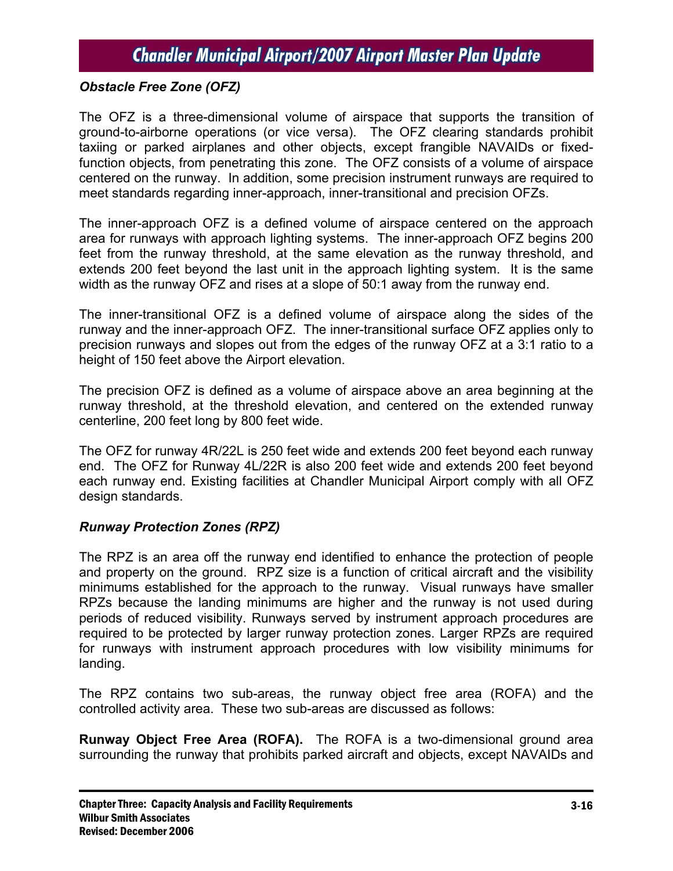## *Obstacle Free Zone (OFZ)*

The OFZ is a three-dimensional volume of airspace that supports the transition of ground-to-airborne operations (or vice versa). The OFZ clearing standards prohibit taxiing or parked airplanes and other objects, except frangible NAVAIDs or fixedfunction objects, from penetrating this zone. The OFZ consists of a volume of airspace centered on the runway. In addition, some precision instrument runways are required to meet standards regarding inner-approach, inner-transitional and precision OFZs.

The inner-approach OFZ is a defined volume of airspace centered on the approach area for runways with approach lighting systems. The inner-approach OFZ begins 200 feet from the runway threshold, at the same elevation as the runway threshold, and extends 200 feet beyond the last unit in the approach lighting system. It is the same width as the runway OFZ and rises at a slope of 50:1 away from the runway end.

The inner-transitional OFZ is a defined volume of airspace along the sides of the runway and the inner-approach OFZ. The inner-transitional surface OFZ applies only to precision runways and slopes out from the edges of the runway OFZ at a 3:1 ratio to a height of 150 feet above the Airport elevation.

The precision OFZ is defined as a volume of airspace above an area beginning at the runway threshold, at the threshold elevation, and centered on the extended runway centerline, 200 feet long by 800 feet wide.

The OFZ for runway 4R/22L is 250 feet wide and extends 200 feet beyond each runway end. The OFZ for Runway 4L/22R is also 200 feet wide and extends 200 feet beyond each runway end. Existing facilities at Chandler Municipal Airport comply with all OFZ design standards.

#### *Runway Protection Zones (RPZ)*

The RPZ is an area off the runway end identified to enhance the protection of people and property on the ground. RPZ size is a function of critical aircraft and the visibility minimums established for the approach to the runway. Visual runways have smaller RPZs because the landing minimums are higher and the runway is not used during periods of reduced visibility. Runways served by instrument approach procedures are required to be protected by larger runway protection zones. Larger RPZs are required for runways with instrument approach procedures with low visibility minimums for landing.

The RPZ contains two sub-areas, the runway object free area (ROFA) and the controlled activity area. These two sub-areas are discussed as follows:

**Runway Object Free Area (ROFA).** The ROFA is a two-dimensional ground area surrounding the runway that prohibits parked aircraft and objects, except NAVAIDs and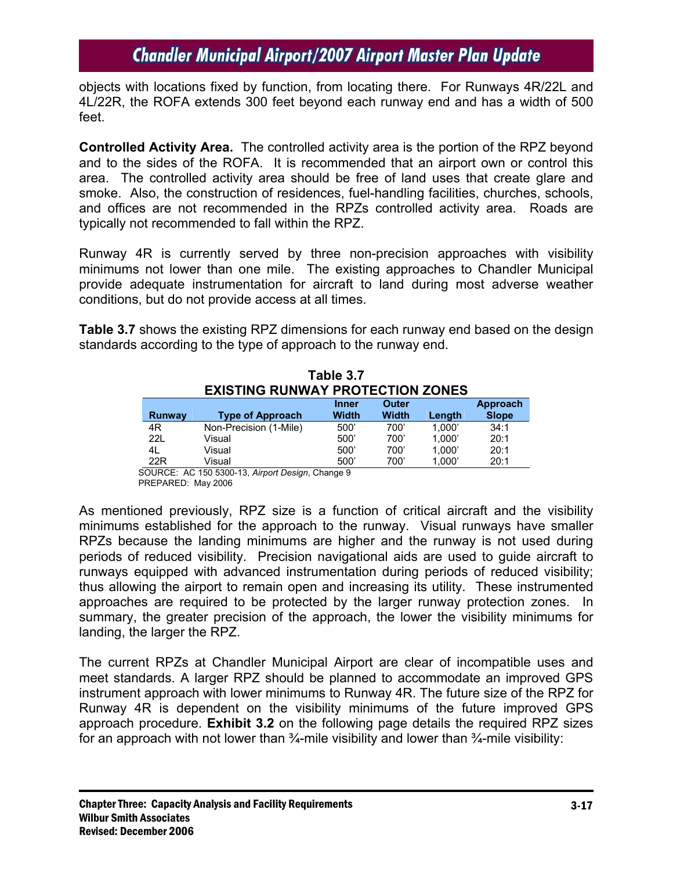objects with locations fixed by function, from locating there. For Runways 4R/22L and 4L/22R, the ROFA extends 300 feet beyond each runway end and has a width of 500 feet.

**Controlled Activity Area.** The controlled activity area is the portion of the RPZ beyond and to the sides of the ROFA. It is recommended that an airport own or control this area. The controlled activity area should be free of land uses that create glare and smoke. Also, the construction of residences, fuel-handling facilities, churches, schools, and offices are not recommended in the RPZs controlled activity area. Roads are typically not recommended to fall within the RPZ.

Runway 4R is currently served by three non-precision approaches with visibility minimums not lower than one mile. The existing approaches to Chandler Municipal provide adequate instrumentation for aircraft to land during most adverse weather conditions, but do not provide access at all times.

**Table 3.7** shows the existing RPZ dimensions for each runway end based on the design standards according to the type of approach to the runway end.

| Table 3.7                               |                         |              |              |        |              |  |
|-----------------------------------------|-------------------------|--------------|--------------|--------|--------------|--|
| <b>EXISTING RUNWAY PROTECTION ZONES</b> |                         |              |              |        |              |  |
| Outer<br><b>Inner</b>                   |                         |              |              |        |              |  |
| <b>Runway</b>                           | <b>Type of Approach</b> | <b>Width</b> | <b>Width</b> | Length | <b>Slope</b> |  |
| 4R                                      | Non-Precision (1-Mile)  | 500'         | 700'         | 1.000' | 34:1         |  |
| <b>221</b>                              | Visual                  | 500'         | 700'         | 1.000' | 20:1         |  |
| 4L                                      | Visual                  | 500'         | 700'         | 1.000' | 20:1         |  |
| 22R                                     | Visual                  | 500'         | 700'         | 1.000' | 20:1         |  |

SOURCE: AC 150 5300-13, *Airport Design*, Change 9 PREPARED: May 2006

As mentioned previously, RPZ size is a function of critical aircraft and the visibility minimums established for the approach to the runway. Visual runways have smaller RPZs because the landing minimums are higher and the runway is not used during periods of reduced visibility. Precision navigational aids are used to guide aircraft to runways equipped with advanced instrumentation during periods of reduced visibility; thus allowing the airport to remain open and increasing its utility. These instrumented approaches are required to be protected by the larger runway protection zones. In summary, the greater precision of the approach, the lower the visibility minimums for landing, the larger the RPZ.

The current RPZs at Chandler Municipal Airport are clear of incompatible uses and meet standards. A larger RPZ should be planned to accommodate an improved GPS instrument approach with lower minimums to Runway 4R. The future size of the RPZ for Runway 4R is dependent on the visibility minimums of the future improved GPS approach procedure. **Exhibit 3.2** on the following page details the required RPZ sizes for an approach with not lower than  $\frac{3}{4}$ -mile visibility and lower than  $\frac{3}{4}$ -mile visibility: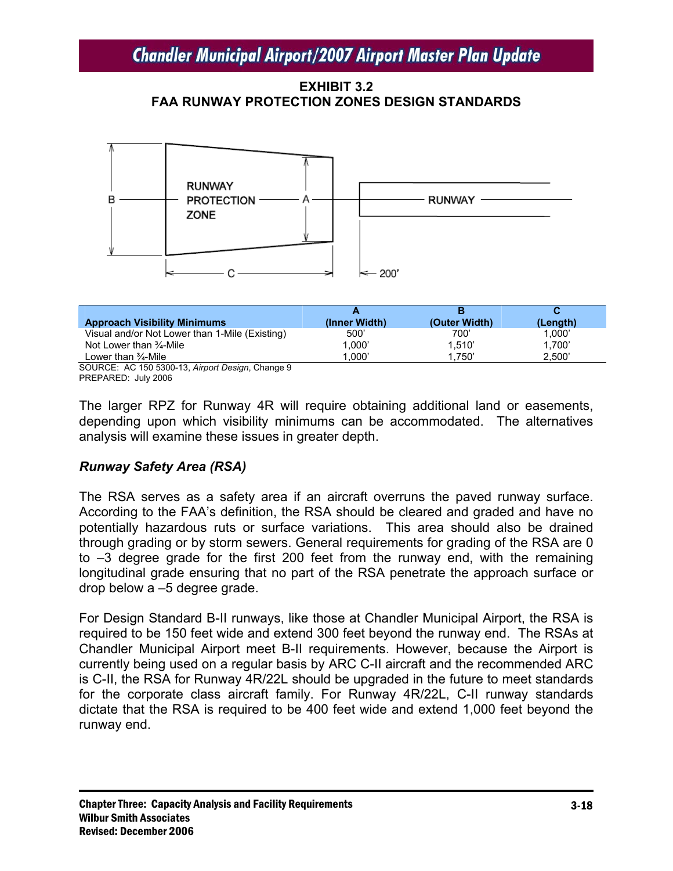**EXHIBIT 3.2 FAA RUNWAY PROTECTION ZONES DESIGN STANDARDS** 



| <b>Approach Visibility Minimums</b>                      | (Inner Width) | (Outer Width) | (Length) |
|----------------------------------------------------------|---------------|---------------|----------|
| Visual and/or Not Lower than 1-Mile (Existing)           | 500'          | 700'          | 1,000'   |
| Not Lower than $\frac{3}{4}$ -Mile                       | 1.000'        | 1.510'        | 1.700'   |
| Lower than 3⁄4-Mile                                      | 1.000'        | 1.750'        | 2.500'   |
| $\cdots$<br>$\sim$<br>$\overline{\phantom{a}}$<br>$\sim$ |               |               |          |

SOURCE: AC 150 5300-13, *Airport Design*, Change 9 PREPARED: July 2006

The larger RPZ for Runway 4R will require obtaining additional land or easements, depending upon which visibility minimums can be accommodated. The alternatives analysis will examine these issues in greater depth.

## *Runway Safety Area (RSA)*

The RSA serves as a safety area if an aircraft overruns the paved runway surface. According to the FAA's definition, the RSA should be cleared and graded and have no potentially hazardous ruts or surface variations. This area should also be drained through grading or by storm sewers. General requirements for grading of the RSA are 0 to –3 degree grade for the first 200 feet from the runway end, with the remaining longitudinal grade ensuring that no part of the RSA penetrate the approach surface or drop below a –5 degree grade.

For Design Standard B-II runways, like those at Chandler Municipal Airport, the RSA is required to be 150 feet wide and extend 300 feet beyond the runway end. The RSAs at Chandler Municipal Airport meet B-II requirements. However, because the Airport is currently being used on a regular basis by ARC C-II aircraft and the recommended ARC is C-II, the RSA for Runway 4R/22L should be upgraded in the future to meet standards for the corporate class aircraft family. For Runway 4R/22L, C-II runway standards dictate that the RSA is required to be 400 feet wide and extend 1,000 feet beyond the runway end.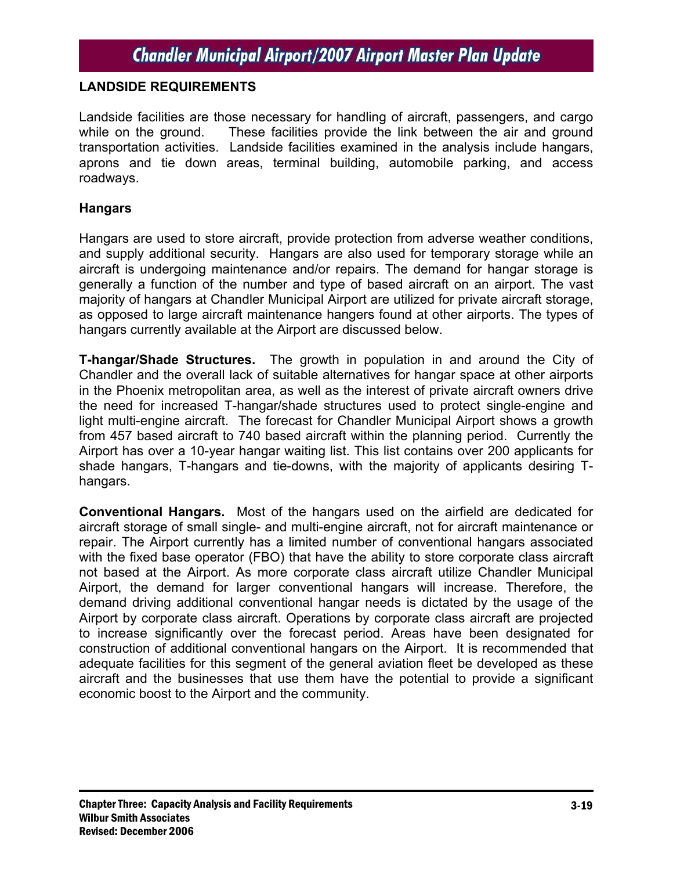#### **LANDSIDE REQUIREMENTS**

Landside facilities are those necessary for handling of aircraft, passengers, and cargo while on the ground. These facilities provide the link between the air and ground transportation activities. Landside facilities examined in the analysis include hangars, aprons and tie down areas, terminal building, automobile parking, and access roadways.

#### **Hangars**

Hangars are used to store aircraft, provide protection from adverse weather conditions, and supply additional security. Hangars are also used for temporary storage while an aircraft is undergoing maintenance and/or repairs. The demand for hangar storage is generally a function of the number and type of based aircraft on an airport. The vast majority of hangars at Chandler Municipal Airport are utilized for private aircraft storage, as opposed to large aircraft maintenance hangers found at other airports. The types of hangars currently available at the Airport are discussed below.

**T-hangar/Shade Structures.** The growth in population in and around the City of Chandler and the overall lack of suitable alternatives for hangar space at other airports in the Phoenix metropolitan area, as well as the interest of private aircraft owners drive the need for increased T-hangar/shade structures used to protect single-engine and light multi-engine aircraft. The forecast for Chandler Municipal Airport shows a growth from 457 based aircraft to 740 based aircraft within the planning period. Currently the Airport has over a 10-year hangar waiting list. This list contains over 200 applicants for shade hangars, T-hangars and tie-downs, with the majority of applicants desiring Thangars.

**Conventional Hangars.** Most of the hangars used on the airfield are dedicated for aircraft storage of small single- and multi-engine aircraft, not for aircraft maintenance or repair. The Airport currently has a limited number of conventional hangars associated with the fixed base operator (FBO) that have the ability to store corporate class aircraft not based at the Airport. As more corporate class aircraft utilize Chandler Municipal Airport, the demand for larger conventional hangars will increase. Therefore, the demand driving additional conventional hangar needs is dictated by the usage of the Airport by corporate class aircraft. Operations by corporate class aircraft are projected to increase significantly over the forecast period. Areas have been designated for construction of additional conventional hangars on the Airport. It is recommended that adequate facilities for this segment of the general aviation fleet be developed as these aircraft and the businesses that use them have the potential to provide a significant economic boost to the Airport and the community.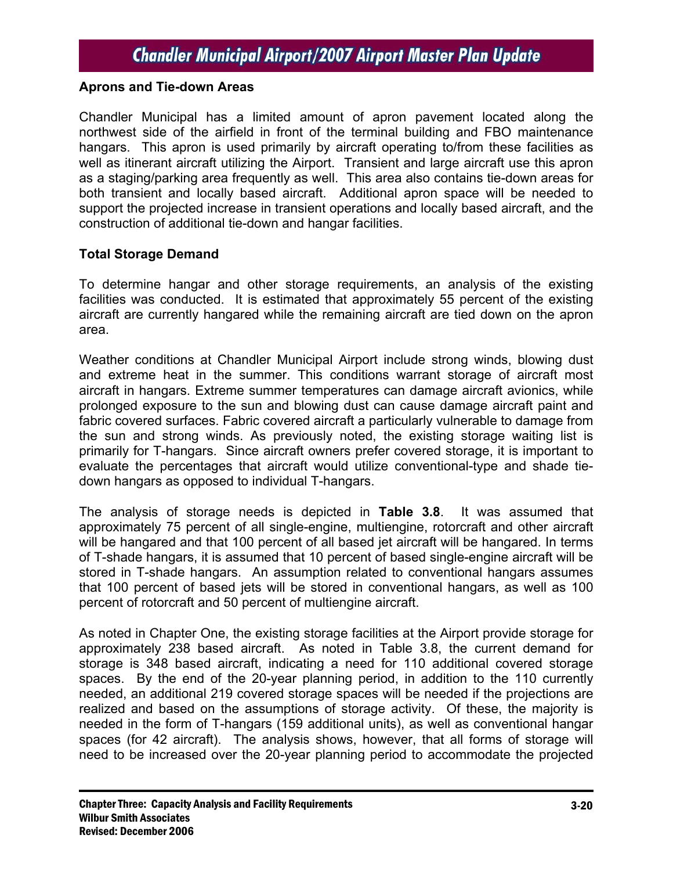#### **Aprons and Tie-down Areas**

Chandler Municipal has a limited amount of apron pavement located along the northwest side of the airfield in front of the terminal building and FBO maintenance hangars. This apron is used primarily by aircraft operating to/from these facilities as well as itinerant aircraft utilizing the Airport. Transient and large aircraft use this apron as a staging/parking area frequently as well. This area also contains tie-down areas for both transient and locally based aircraft. Additional apron space will be needed to support the projected increase in transient operations and locally based aircraft, and the construction of additional tie-down and hangar facilities.

#### **Total Storage Demand**

To determine hangar and other storage requirements, an analysis of the existing facilities was conducted. It is estimated that approximately 55 percent of the existing aircraft are currently hangared while the remaining aircraft are tied down on the apron area.

Weather conditions at Chandler Municipal Airport include strong winds, blowing dust and extreme heat in the summer. This conditions warrant storage of aircraft most aircraft in hangars. Extreme summer temperatures can damage aircraft avionics, while prolonged exposure to the sun and blowing dust can cause damage aircraft paint and fabric covered surfaces. Fabric covered aircraft a particularly vulnerable to damage from the sun and strong winds. As previously noted, the existing storage waiting list is primarily for T-hangars. Since aircraft owners prefer covered storage, it is important to evaluate the percentages that aircraft would utilize conventional-type and shade tiedown hangars as opposed to individual T-hangars.

The analysis of storage needs is depicted in **Table 3.8**. It was assumed that approximately 75 percent of all single-engine, multiengine, rotorcraft and other aircraft will be hangared and that 100 percent of all based jet aircraft will be hangared. In terms of T-shade hangars, it is assumed that 10 percent of based single-engine aircraft will be stored in T-shade hangars. An assumption related to conventional hangars assumes that 100 percent of based jets will be stored in conventional hangars, as well as 100 percent of rotorcraft and 50 percent of multiengine aircraft.

As noted in Chapter One, the existing storage facilities at the Airport provide storage for approximately 238 based aircraft. As noted in Table 3.8, the current demand for storage is 348 based aircraft, indicating a need for 110 additional covered storage spaces. By the end of the 20-year planning period, in addition to the 110 currently needed, an additional 219 covered storage spaces will be needed if the projections are realized and based on the assumptions of storage activity. Of these, the majority is needed in the form of T-hangars (159 additional units), as well as conventional hangar spaces (for 42 aircraft). The analysis shows, however, that all forms of storage will need to be increased over the 20-year planning period to accommodate the projected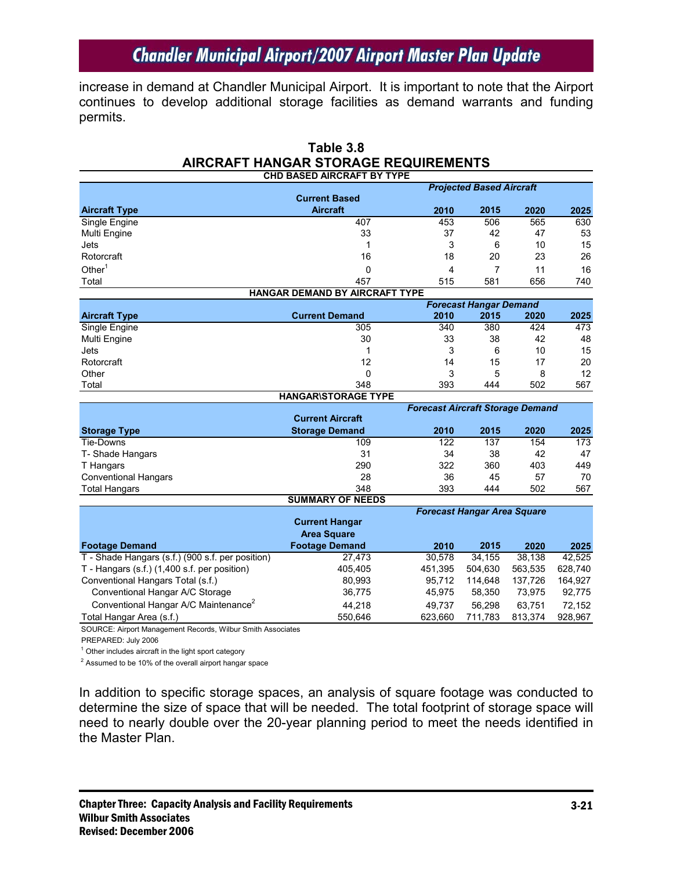increase in demand at Chandler Municipal Airport. It is important to note that the Airport continues to develop additional storage facilities as demand warrants and funding permits.

|                                                                           | <b>AIRCRAFT HANGAR STORAGE REQUIREMENTS</b> |                                         |                               |                |                |
|---------------------------------------------------------------------------|---------------------------------------------|-----------------------------------------|-------------------------------|----------------|----------------|
|                                                                           | <b>CHD BASED AIRCRAFT BY TYPE</b>           |                                         |                               |                |                |
|                                                                           | <b>Projected Based Aircraft</b>             |                                         |                               |                |                |
|                                                                           | <b>Current Based</b>                        |                                         |                               |                |                |
| <b>Aircraft Type</b>                                                      | <b>Aircraft</b>                             | 2010                                    | 2015                          | 2020           | 2025           |
| Single Engine                                                             | 407                                         | 453                                     | 506                           | 565            | 630            |
| Multi Engine                                                              | 33                                          | 37                                      | 42                            | 47             | 53             |
| Jets                                                                      | 1                                           | 3                                       | 6                             | 10             | 15             |
| Rotorcraft                                                                | 16                                          | 18                                      | 20                            | 23             | 26             |
| Other $1$                                                                 | 0                                           | 4                                       | 7                             | 11             | 16             |
| Total                                                                     | 457                                         | 515                                     | 581                           | 656            | 740            |
|                                                                           | HANGAR DEMAND BY AIRCRAFT TYPE              |                                         |                               |                |                |
|                                                                           |                                             |                                         | <b>Forecast Hangar Demand</b> |                |                |
| <b>Aircraft Type</b>                                                      | <b>Current Demand</b>                       | 2010                                    | 2015                          | 2020           | 2025           |
| Single Engine                                                             | 305                                         | 340                                     | 380                           | 424            | 473            |
| Multi Engine                                                              | 30                                          | 33                                      | 38                            | 42             | 48             |
| Jets                                                                      | 1                                           | 3                                       | 6                             | 10             | 15             |
| Rotorcraft                                                                | 12                                          | 14                                      | 15                            | 17             | 20             |
| Other                                                                     | 0                                           | 3                                       | 5                             | 8              | 12             |
| Total                                                                     | 348                                         | 393                                     | 444                           | 502            | 567            |
|                                                                           | <b>HANGAR\STORAGE TYPE</b>                  |                                         |                               |                |                |
|                                                                           |                                             | <b>Forecast Aircraft Storage Demand</b> |                               |                |                |
|                                                                           | <b>Current Aircraft</b>                     |                                         |                               |                |                |
| <b>Storage Type</b>                                                       | <b>Storage Demand</b>                       | 2010                                    | 2015                          | 2020           | 2025           |
| Tie-Downs                                                                 | 109                                         | $\overline{122}$                        | 137                           | 154            | 173            |
| T- Shade Hangars                                                          | 31                                          | 34                                      | 38                            | 42             | 47             |
| T Hangars                                                                 | 290                                         | 322                                     | 360                           | 403            | 449            |
| <b>Conventional Hangars</b>                                               | 28                                          | 36                                      | 45                            | 57             | 70             |
| <b>Total Hangars</b>                                                      | 348                                         | 393                                     | 444                           | 502            | 567            |
|                                                                           | <b>SUMMARY OF NEEDS</b>                     |                                         |                               |                |                |
|                                                                           | <b>Current Hangar</b>                       | <b>Forecast Hangar Area Square</b>      |                               |                |                |
|                                                                           | <b>Area Square</b>                          |                                         |                               |                |                |
|                                                                           | <b>Footage Demand</b>                       |                                         | 2015                          |                |                |
| <b>Footage Demand</b><br>T - Shade Hangars (s.f.) (900 s.f. per position) |                                             | 2010<br>30.578                          | 34.155                        | 2020<br>38.138 | 2025<br>42.525 |
|                                                                           | 27,473                                      |                                         |                               |                |                |
| T - Hangars (s.f.) (1,400 s.f. per position)                              | 405,405                                     | 451,395                                 | 504,630                       | 563,535        | 628,740        |
| Conventional Hangars Total (s.f.)                                         | 80,993                                      | 95,712                                  | 114,648                       | 137,726        | 164,927        |
| Conventional Hangar A/C Storage                                           | 36,775                                      | 45,975                                  | 58,350                        | 73,975         | 92,775         |
| Conventional Hangar A/C Maintenance <sup>2</sup>                          | 44,218                                      | 49,737                                  | 56,298                        | 63,751         | 72,152         |
| Total Hangar Area (s.f.)                                                  | 550,646                                     | 623,660                                 | 711,783                       | 813,374        | 928,967        |
| SOURCE: Airport Management Records, Wilbur Smith Associates               |                                             |                                         |                               |                |                |

# **Table 3.8**

PREPARED: July 2006

 $1$  Other includes aircraft in the light sport category

 $2$  Assumed to be 10% of the overall airport hangar space

In addition to specific storage spaces, an analysis of square footage was conducted to determine the size of space that will be needed. The total footprint of storage space will need to nearly double over the 20-year planning period to meet the needs identified in the Master Plan.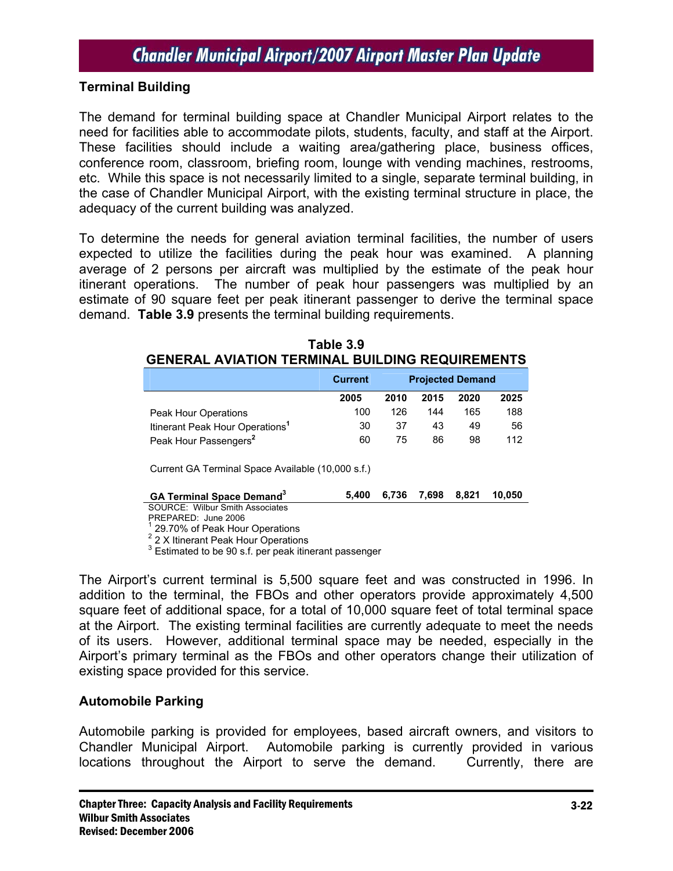## **Terminal Building**

The demand for terminal building space at Chandler Municipal Airport relates to the need for facilities able to accommodate pilots, students, faculty, and staff at the Airport. These facilities should include a waiting area/gathering place, business offices, conference room, classroom, briefing room, lounge with vending machines, restrooms, etc. While this space is not necessarily limited to a single, separate terminal building, in the case of Chandler Municipal Airport, with the existing terminal structure in place, the adequacy of the current building was analyzed.

To determine the needs for general aviation terminal facilities, the number of users expected to utilize the facilities during the peak hour was examined. A planning average of 2 persons per aircraft was multiplied by the estimate of the peak hour itinerant operations. The number of peak hour passengers was multiplied by an estimate of 90 square feet per peak itinerant passenger to derive the terminal space demand. **Table 3.9** presents the terminal building requirements.

|                                             | <b>Current</b> | <b>Projected Demand</b> |      |      |      |
|---------------------------------------------|----------------|-------------------------|------|------|------|
|                                             | 2005           | 2010                    | 2015 | 2020 | 2025 |
| <b>Peak Hour Operations</b>                 | 100            | 126                     | 144  | 165  | 188  |
| Itinerant Peak Hour Operations <sup>1</sup> | 30             | 37                      | 43   | 49   | 56   |
| Peak Hour Passengers <sup>2</sup>           | 60             | 75                      | 86   | 98   | 112  |

| Table 3.9                                              |  |  |  |  |  |  |
|--------------------------------------------------------|--|--|--|--|--|--|
| <b>GENERAL AVIATION TERMINAL BUILDING REQUIREMENTS</b> |  |  |  |  |  |  |

Current GA Terminal Space Available (10,000 s.f.)

| <b>GA Terminal Space Demand</b> <sup>3</sup> |  |  | 5,400 6,736 7,698 8,821 10,050 |
|----------------------------------------------|--|--|--------------------------------|
| COLIDCE: Wilburg Cmith Accordiator           |  |  |                                |

SOURCE: Wilbur Smith Associates PREPARED: June 2006

1 29.70% of Peak Hour Operations

<sup>2</sup> 2 X Itinerant Peak Hour Operations

 $3$  Estimated to be 90 s.f. per peak itinerant passenger

The Airport's current terminal is 5,500 square feet and was constructed in 1996. In addition to the terminal, the FBOs and other operators provide approximately 4,500 square feet of additional space, for a total of 10,000 square feet of total terminal space at the Airport. The existing terminal facilities are currently adequate to meet the needs of its users. However, additional terminal space may be needed, especially in the Airport's primary terminal as the FBOs and other operators change their utilization of existing space provided for this service.

## **Automobile Parking**

Automobile parking is provided for employees, based aircraft owners, and visitors to Chandler Municipal Airport. Automobile parking is currently provided in various locations throughout the Airport to serve the demand. Currently, there are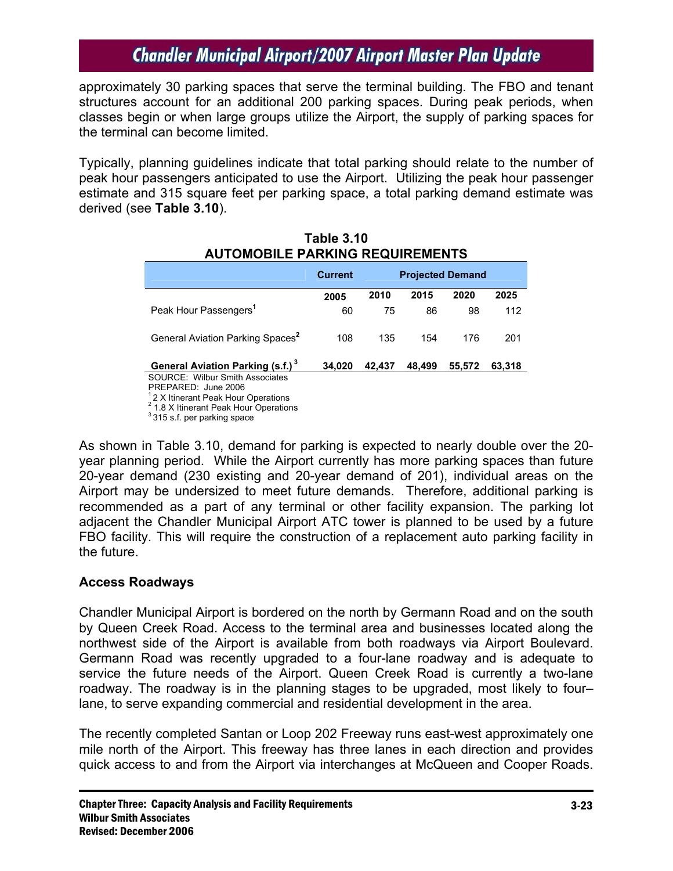approximately 30 parking spaces that serve the terminal building. The FBO and tenant structures account for an additional 200 parking spaces. During peak periods, when classes begin or when large groups utilize the Airport, the supply of parking spaces for the terminal can become limited.

Typically, planning guidelines indicate that total parking should relate to the number of peak hour passengers anticipated to use the Airport. Utilizing the peak hour passenger estimate and 315 square feet per parking space, a total parking demand estimate was derived (see **Table 3.10**).

|                                                                                                        | <b>Current</b> | <b>Projected Demand</b> |        |        |        |
|--------------------------------------------------------------------------------------------------------|----------------|-------------------------|--------|--------|--------|
|                                                                                                        | 2005           | 2010                    | 2015   | 2020   | 2025   |
| Peak Hour Passengers <sup>1</sup>                                                                      | 60             | 75                      | 86     | 98     | 112    |
| General Aviation Parking Spaces <sup>2</sup>                                                           | 108            | 135                     | 154    | 176    | 201    |
| General Aviation Parking (s.f.) <sup>3</sup><br>SOURCE: Wilbur Smith Associates<br>PREPARED: June 2006 | 34.020         | 42.437                  | 48.499 | 55,572 | 63.318 |

#### **Table 3.10 AUTOMOBILE PARKING REQUIREMENTS**

<sup>1</sup> 2 X Itinerant Peak Hour Operations

<sup>2</sup> 1.8 X Itinerant Peak Hour Operations

<sup>3</sup> 315 s.f. per parking space

As shown in Table 3.10, demand for parking is expected to nearly double over the 20 year planning period. While the Airport currently has more parking spaces than future 20-year demand (230 existing and 20-year demand of 201), individual areas on the Airport may be undersized to meet future demands. Therefore, additional parking is recommended as a part of any terminal or other facility expansion. The parking lot adjacent the Chandler Municipal Airport ATC tower is planned to be used by a future FBO facility. This will require the construction of a replacement auto parking facility in the future.

## **Access Roadways**

Chandler Municipal Airport is bordered on the north by Germann Road and on the south by Queen Creek Road. Access to the terminal area and businesses located along the northwest side of the Airport is available from both roadways via Airport Boulevard. Germann Road was recently upgraded to a four-lane roadway and is adequate to service the future needs of the Airport. Queen Creek Road is currently a two-lane roadway. The roadway is in the planning stages to be upgraded, most likely to four– lane, to serve expanding commercial and residential development in the area.

The recently completed Santan or Loop 202 Freeway runs east-west approximately one mile north of the Airport. This freeway has three lanes in each direction and provides quick access to and from the Airport via interchanges at McQueen and Cooper Roads.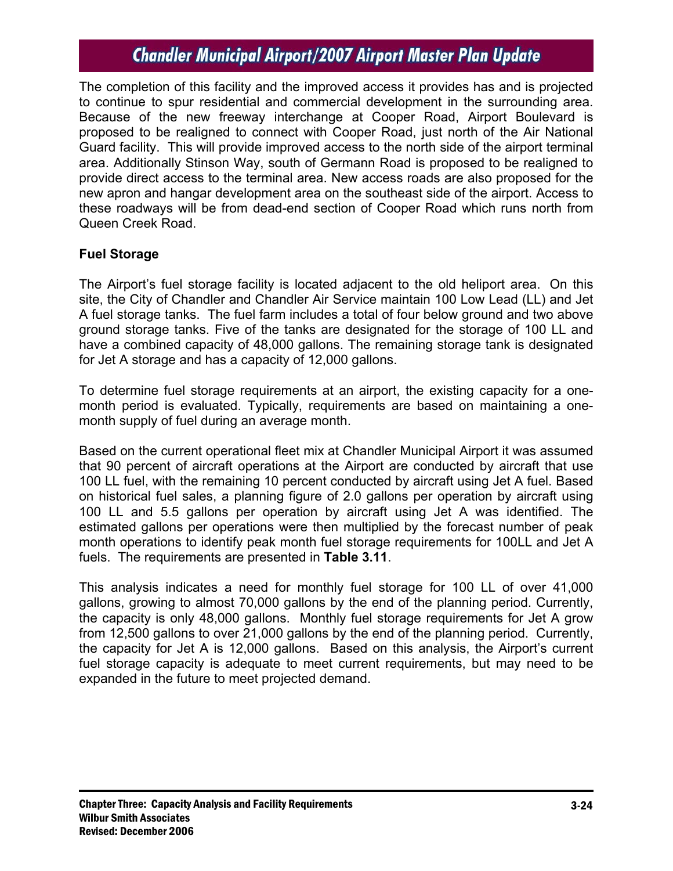The completion of this facility and the improved access it provides has and is projected to continue to spur residential and commercial development in the surrounding area. Because of the new freeway interchange at Cooper Road, Airport Boulevard is proposed to be realigned to connect with Cooper Road, just north of the Air National Guard facility. This will provide improved access to the north side of the airport terminal area. Additionally Stinson Way, south of Germann Road is proposed to be realigned to provide direct access to the terminal area. New access roads are also proposed for the new apron and hangar development area on the southeast side of the airport. Access to these roadways will be from dead-end section of Cooper Road which runs north from Queen Creek Road.

## **Fuel Storage**

The Airport's fuel storage facility is located adjacent to the old heliport area. On this site, the City of Chandler and Chandler Air Service maintain 100 Low Lead (LL) and Jet A fuel storage tanks. The fuel farm includes a total of four below ground and two above ground storage tanks. Five of the tanks are designated for the storage of 100 LL and have a combined capacity of 48,000 gallons. The remaining storage tank is designated for Jet A storage and has a capacity of 12,000 gallons.

To determine fuel storage requirements at an airport, the existing capacity for a onemonth period is evaluated. Typically, requirements are based on maintaining a onemonth supply of fuel during an average month.

Based on the current operational fleet mix at Chandler Municipal Airport it was assumed that 90 percent of aircraft operations at the Airport are conducted by aircraft that use 100 LL fuel, with the remaining 10 percent conducted by aircraft using Jet A fuel. Based on historical fuel sales, a planning figure of 2.0 gallons per operation by aircraft using 100 LL and 5.5 gallons per operation by aircraft using Jet A was identified. The estimated gallons per operations were then multiplied by the forecast number of peak month operations to identify peak month fuel storage requirements for 100LL and Jet A fuels. The requirements are presented in **Table 3.11**.

This analysis indicates a need for monthly fuel storage for 100 LL of over 41,000 gallons, growing to almost 70,000 gallons by the end of the planning period. Currently, the capacity is only 48,000 gallons. Monthly fuel storage requirements for Jet A grow from 12,500 gallons to over 21,000 gallons by the end of the planning period. Currently, the capacity for Jet A is 12,000 gallons. Based on this analysis, the Airport's current fuel storage capacity is adequate to meet current requirements, but may need to be expanded in the future to meet projected demand.